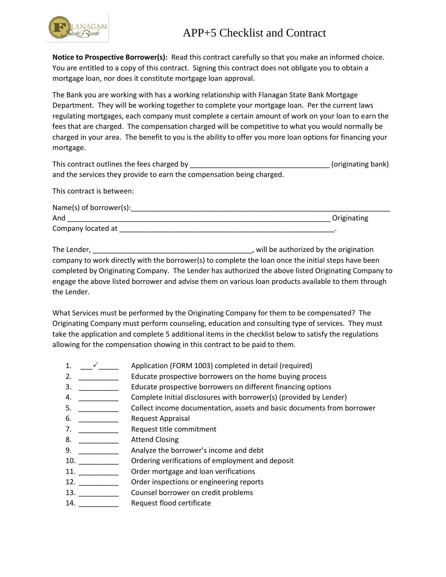## APP+5 Checklist and Contract



**Notice to Prospective Borrower(s):** Read this contract carefully so that you make an informed choice. You are entitled to a copy of this contract. Signing this contract does not obligate you to obtain a mortgage loan, nor does it constitute mortgage loan approval.

The Bank you are working with has a working relationship with Flanagan State Bank Mortgage Department. They will be working together to complete your mortgage loan. Per the current laws regulating mortgages, each company must complete a certain amount of work on your loan to earn the fees that are charged. The compensation charged will be competitive to what you would normally be charged in your area. The benefit to you is the ability to offer you more loan options for financing your mortgage.

| This contract outlines the fees charged by                            | (originating bank) |
|-----------------------------------------------------------------------|--------------------|
| and the services they provide to earn the compensation being charged. |                    |

This contract is between:

| Name(s) of borrower(s): |             |
|-------------------------|-------------|
| And                     | Originating |
| Company located at      |             |

The Lender, \_\_\_\_\_\_\_\_\_\_\_\_\_\_\_\_\_\_\_\_\_\_\_\_\_\_\_\_\_\_\_\_\_\_\_\_\_\_\_\_, will be authorized by the origination company to work directly with the borrower(s) to complete the loan once the initial steps have been completed by Originating Company. The Lender has authorized the above listed Originating Company to engage the above listed borrower and advise them on various loan products available to them through the Lender.

What Services must be performed by the Originating Company for them to be compensated? The Originating Company must perform counseling, education and consulting type of services. They must take the application and complete 5 additional items in the checklist below to satisfy the regulations allowing for the compensation showing in this contract to be paid to them.

- 1. \_\_\_\_\_\_\_\_ Application (FORM 1003) completed in detail (required)
- 2. \_\_\_\_\_\_\_\_\_\_\_\_\_ Educate prospective borrowers on the home buying process
- 3. \_\_\_\_\_\_\_\_\_\_ Educate prospective borrowers on different financing options
- 4. Complete Initial disclosures with borrower(s) (provided by Lender)
- 5. \_\_\_\_\_\_\_\_\_\_ Collect income documentation, assets and basic documents from borrower
- 6. \_\_\_\_\_\_\_\_\_\_\_\_\_\_ Request Appraisal
- 7. \_\_\_\_\_\_\_\_\_\_ Request title commitment
- 8. \_\_\_\_\_\_\_\_\_\_\_\_\_ Attend Closing
- 9. \_\_\_\_\_\_\_\_\_\_ Analyze the borrower's income and debt
- 10. \_\_\_\_\_\_\_\_\_\_ Ordering verifications of employment and deposit
- 11. \_\_\_\_\_\_\_\_\_\_ Order mortgage and loan verifications
- 12. \_\_\_\_\_\_\_\_\_\_ Order inspections or engineering reports
- 13. \_\_\_\_\_\_\_\_\_\_\_\_\_\_\_\_\_\_\_ Counsel borrower on credit problems
- 14. **Request flood certificate**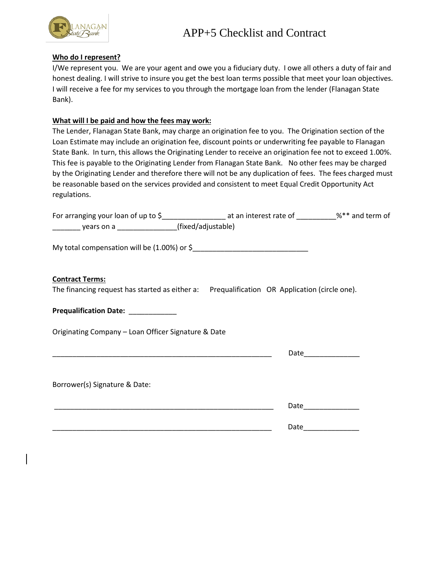

## **Who do I represent?**

I/We represent you. We are your agent and owe you a fiduciary duty. I owe all others a duty of fair and honest dealing. I will strive to insure you get the best loan terms possible that meet your loan objectives. I will receive a fee for my services to you through the mortgage loan from the lender (Flanagan State Bank).

## **What will I be paid and how the fees may work:**

The Lender, Flanagan State Bank, may charge an origination fee to you. The Origination section of the Loan Estimate may include an origination fee, discount points or underwriting fee payable to Flanagan State Bank. In turn, this allows the Originating Lender to receive an origination fee not to exceed 1.00%. This fee is payable to the Originating Lender from Flanagan State Bank. No other fees may be charged by the Originating Lender and therefore there will not be any duplication of fees. The fees charged must be reasonable based on the services provided and consistent to meet Equal Credit Opportunity Act regulations.

| For arranging your loan of up to \$_______________________ at an interest rate of __________%** and term of            |      |                  |
|------------------------------------------------------------------------------------------------------------------------|------|------------------|
| _________ years on a __________________(fixed/adjustable)                                                              |      |                  |
|                                                                                                                        |      |                  |
| <b>Contract Terms:</b><br>The financing request has started as either a: Prequalification OR Application (circle one). |      |                  |
| Prequalification Date: ___________                                                                                     |      |                  |
| Originating Company - Loan Officer Signature & Date                                                                    |      |                  |
|                                                                                                                        |      |                  |
| Borrower(s) Signature & Date:                                                                                          |      |                  |
|                                                                                                                        |      | Date <b>Date</b> |
|                                                                                                                        | Date |                  |